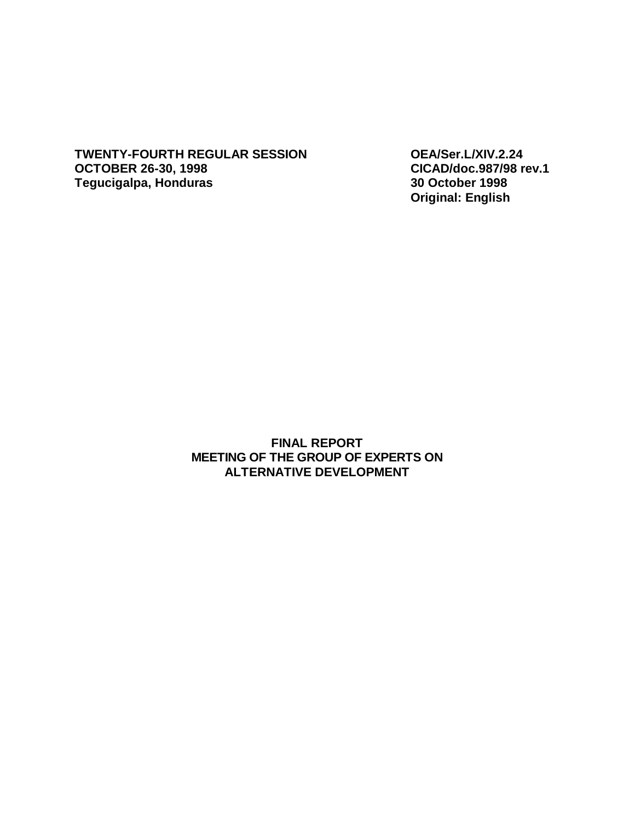**TWENTY-FOURTH REGULAR SESSION OEA/Ser.L/XIV.2.24 OCTOBER 26-30, 1998 CICAD/doc.987/98 rev.1 Tegucigalpa, Honduras 30 October 1998** 

**Original: English** 

**FINAL REPORT MEETING OF THE GROUP OF EXPERTS ON ALTERNATIVE DEVELOPMENT**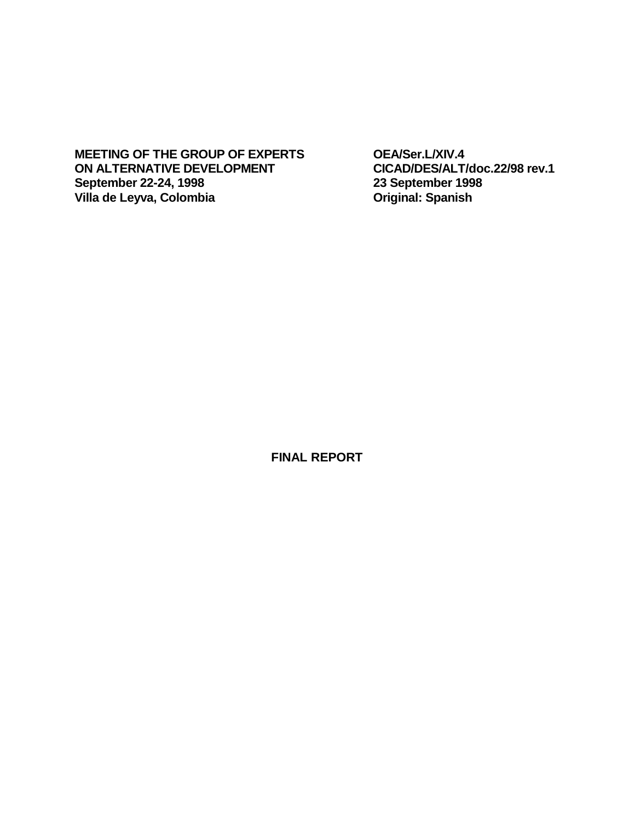MEETING OF THE GROUP OF EXPERTS OEA/Ser.L/XIV.4<br>
ON ALTERNATIVE DEVELOPMENT CICAD/DES/ALT/doc.22/98 rev.1 **ON** ALTERNATIVE DEVELOPMENT CICAD/DES/ALT/doc<br>
September 22-24, 1998 23 September 1998 **September 22-24, 1998 23 September 1998 Villa** de Leyva, Colombia

**FINAL REPORT**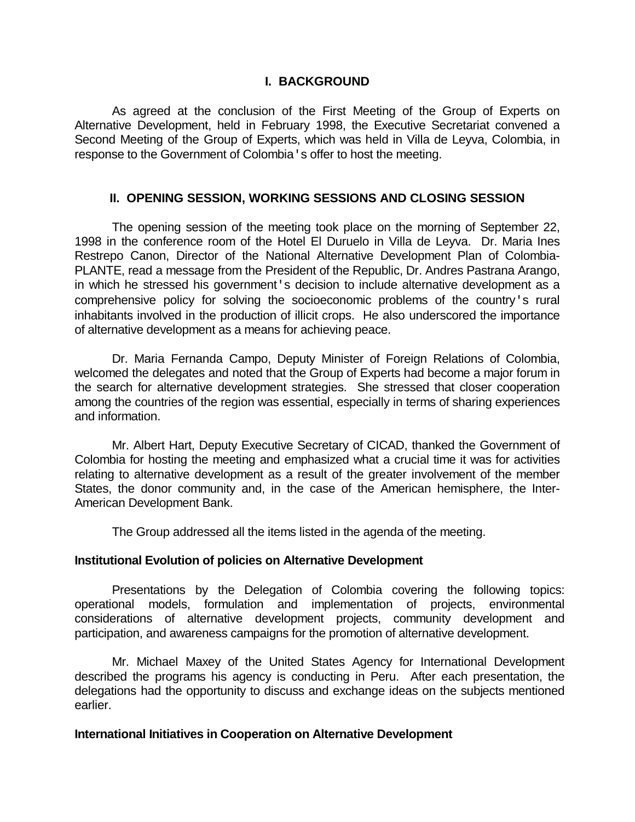## **I. BACKGROUND**

As agreed at the conclusion of the First Meeting of the Group of Experts on Alternative Development, held in February 1998, the Executive Secretariat convened a Second Meeting of the Group of Experts, which was held in Villa de Leyva, Colombia, in response to the Government of Colombia's offer to host the meeting.

## **II. OPENING SESSION, WORKING SESSIONS AND CLOSING SESSION**

 The opening session of the meeting took place on the morning of September 22, 1998 in the conference room of the Hotel El Duruelo in Villa de Leyva. Dr. Maria Ines Restrepo Canon, Director of the National Alternative Development Plan of Colombia-PLANTE, read a message from the President of the Republic, Dr. Andres Pastrana Arango, in which he stressed his government's decision to include alternative development as a comprehensive policy for solving the socioeconomic problems of the country's rural inhabitants involved in the production of illicit crops. He also underscored the importance of alternative development as a means for achieving peace.

 Dr. Maria Fernanda Campo, Deputy Minister of Foreign Relations of Colombia, welcomed the delegates and noted that the Group of Experts had become a major forum in the search for alternative development strategies. She stressed that closer cooperation among the countries of the region was essential, especially in terms of sharing experiences and information.

 Mr. Albert Hart, Deputy Executive Secretary of CICAD, thanked the Government of Colombia for hosting the meeting and emphasized what a crucial time it was for activities relating to alternative development as a result of the greater involvement of the member States, the donor community and, in the case of the American hemisphere, the Inter-American Development Bank.

The Group addressed all the items listed in the agenda of the meeting.

## **Institutional Evolution of policies on Alternative Development**

 Presentations by the Delegation of Colombia covering the following topics: operational models, formulation and implementation of projects, environmental considerations of alternative development projects, community development and participation, and awareness campaigns for the promotion of alternative development.

 Mr. Michael Maxey of the United States Agency for International Development described the programs his agency is conducting in Peru. After each presentation, the delegations had the opportunity to discuss and exchange ideas on the subjects mentioned earlier.

## **International Initiatives in Cooperation on Alternative Development**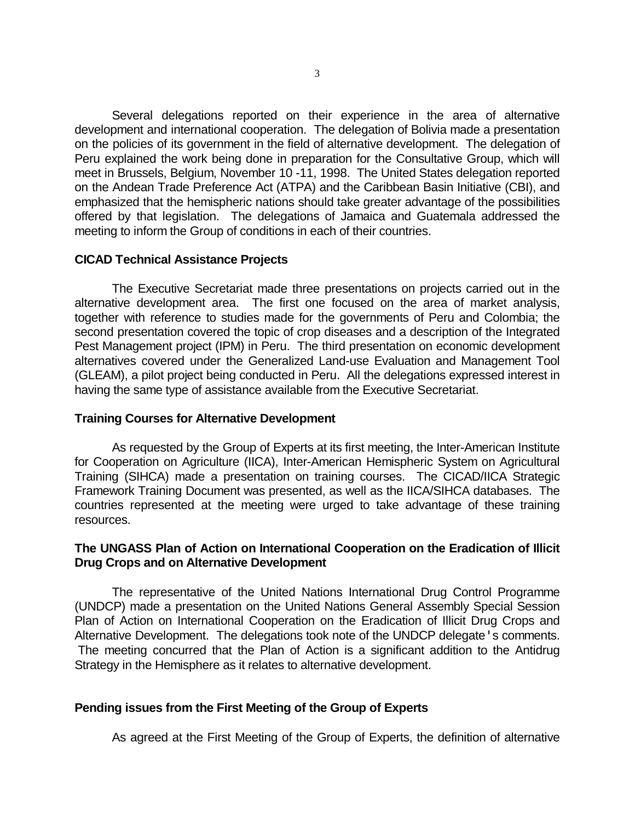Several delegations reported on their experience in the area of alternative development and international cooperation. The delegation of Bolivia made a presentation on the policies of its government in the field of alternative development. The delegation of Peru explained the work being done in preparation for the Consultative Group, which will meet in Brussels, Belgium, November 10 -11, 1998. The United States delegation reported on the Andean Trade Preference Act (ATPA) and the Caribbean Basin Initiative (CBI), and emphasized that the hemispheric nations should take greater advantage of the possibilities offered by that legislation. The delegations of Jamaica and Guatemala addressed the meeting to inform the Group of conditions in each of their countries.

## **CICAD Technical Assistance Projects**

 The Executive Secretariat made three presentations on projects carried out in the alternative development area. The first one focused on the area of market analysis, together with reference to studies made for the governments of Peru and Colombia; the second presentation covered the topic of crop diseases and a description of the Integrated Pest Management project (IPM) in Peru. The third presentation on economic development alternatives covered under the Generalized Land-use Evaluation and Management Tool (GLEAM), a pilot project being conducted in Peru. All the delegations expressed interest in having the same type of assistance available from the Executive Secretariat.

## **Training Courses for Alternative Development**

 As requested by the Group of Experts at its first meeting, the Inter-American Institute for Cooperation on Agriculture (IICA), Inter-American Hemispheric System on Agricultural Training (SIHCA) made a presentation on training courses. The CICAD/IICA Strategic Framework Training Document was presented, as well as the IICA/SIHCA databases. The countries represented at the meeting were urged to take advantage of these training resources.

# **The UNGASS Plan of Action on International Cooperation on the Eradication of Illicit Drug Crops and on Alternative Development**

 The representative of the United Nations International Drug Control Programme (UNDCP) made a presentation on the United Nations General Assembly Special Session Plan of Action on International Cooperation on the Eradication of Illicit Drug Crops and Alternative Development. The delegations took note of the UNDCP delegate's comments. The meeting concurred that the Plan of Action is a significant addition to the Antidrug Strategy in the Hemisphere as it relates to alternative development.

# **Pending issues from the First Meeting of the Group of Experts**

As agreed at the First Meeting of the Group of Experts, the definition of alternative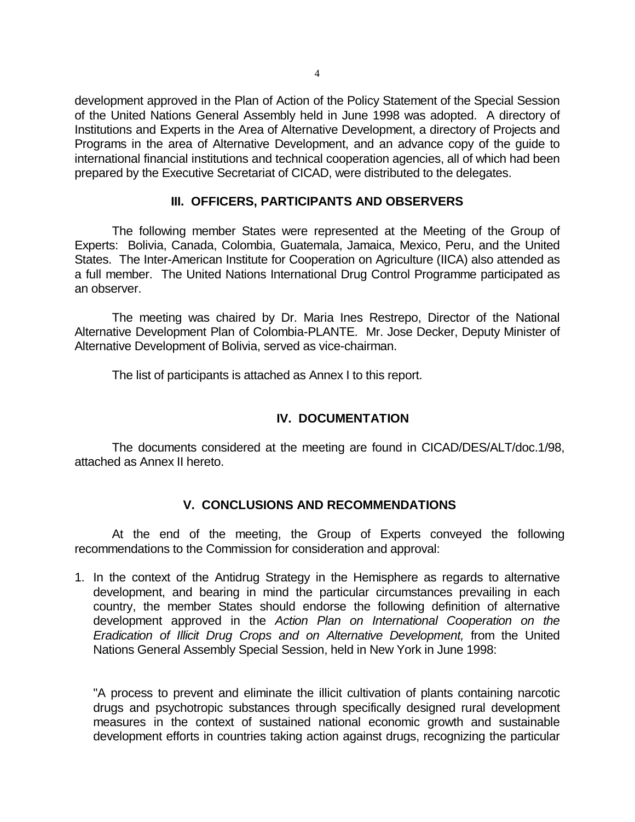development approved in the Plan of Action of the Policy Statement of the Special Session of the United Nations General Assembly held in June 1998 was adopted. A directory of Institutions and Experts in the Area of Alternative Development, a directory of Projects and Programs in the area of Alternative Development, and an advance copy of the guide to international financial institutions and technical cooperation agencies, all of which had been prepared by the Executive Secretariat of CICAD, were distributed to the delegates.

## **III. OFFICERS, PARTICIPANTS AND OBSERVERS**

 The following member States were represented at the Meeting of the Group of Experts: Bolivia, Canada, Colombia, Guatemala, Jamaica, Mexico, Peru, and the United States. The Inter-American Institute for Cooperation on Agriculture (IICA) also attended as a full member. The United Nations International Drug Control Programme participated as an observer.

 The meeting was chaired by Dr. Maria Ines Restrepo, Director of the National Alternative Development Plan of Colombia-PLANTE. Mr. Jose Decker, Deputy Minister of Alternative Development of Bolivia, served as vice-chairman.

The list of participants is attached as Annex I to this report.

# **IV. DOCUMENTATION**

 The documents considered at the meeting are found in CICAD/DES/ALT/doc.1/98, attached as Annex II hereto.

# **V. CONCLUSIONS AND RECOMMENDATIONS**

 At the end of the meeting, the Group of Experts conveyed the following recommendations to the Commission for consideration and approval:

1. In the context of the Antidrug Strategy in the Hemisphere as regards to alternative development, and bearing in mind the particular circumstances prevailing in each country, the member States should endorse the following definition of alternative development approved in the *Action Plan on International Cooperation on the Eradication of Illicit Drug Crops and on Alternative Development,* from the United Nations General Assembly Special Session, held in New York in June 1998:

"A process to prevent and eliminate the illicit cultivation of plants containing narcotic drugs and psychotropic substances through specifically designed rural development measures in the context of sustained national economic growth and sustainable development efforts in countries taking action against drugs, recognizing the particular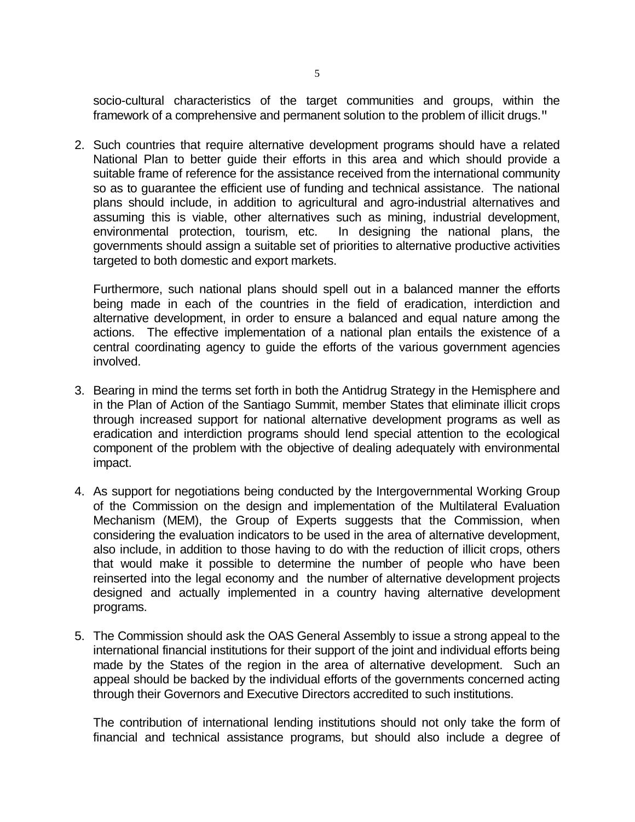socio-cultural characteristics of the target communities and groups, within the framework of a comprehensive and permanent solution to the problem of illicit drugs."

2. Such countries that require alternative development programs should have a related National Plan to better guide their efforts in this area and which should provide a suitable frame of reference for the assistance received from the international community so as to guarantee the efficient use of funding and technical assistance. The national plans should include, in addition to agricultural and agro-industrial alternatives and assuming this is viable, other alternatives such as mining, industrial development, environmental protection, tourism, etc. In designing the national plans, the governments should assign a suitable set of priorities to alternative productive activities targeted to both domestic and export markets.

Furthermore, such national plans should spell out in a balanced manner the efforts being made in each of the countries in the field of eradication, interdiction and alternative development, in order to ensure a balanced and equal nature among the actions. The effective implementation of a national plan entails the existence of a central coordinating agency to guide the efforts of the various government agencies involved.

- 3. Bearing in mind the terms set forth in both the Antidrug Strategy in the Hemisphere and in the Plan of Action of the Santiago Summit, member States that eliminate illicit crops through increased support for national alternative development programs as well as eradication and interdiction programs should lend special attention to the ecological component of the problem with the objective of dealing adequately with environmental impact.
- 4. As support for negotiations being conducted by the Intergovernmental Working Group of the Commission on the design and implementation of the Multilateral Evaluation Mechanism (MEM), the Group of Experts suggests that the Commission, when considering the evaluation indicators to be used in the area of alternative development, also include, in addition to those having to do with the reduction of illicit crops, others that would make it possible to determine the number of people who have been reinserted into the legal economy and the number of alternative development projects designed and actually implemented in a country having alternative development programs.
- 5. The Commission should ask the OAS General Assembly to issue a strong appeal to the international financial institutions for their support of the joint and individual efforts being made by the States of the region in the area of alternative development. Such an appeal should be backed by the individual efforts of the governments concerned acting through their Governors and Executive Directors accredited to such institutions.

The contribution of international lending institutions should not only take the form of financial and technical assistance programs, but should also include a degree of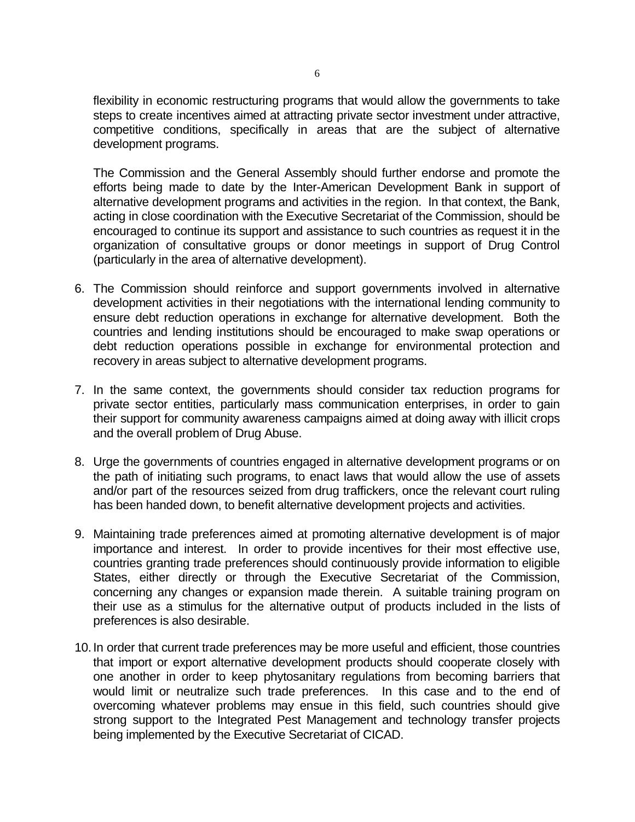flexibility in economic restructuring programs that would allow the governments to take steps to create incentives aimed at attracting private sector investment under attractive, competitive conditions, specifically in areas that are the subject of alternative development programs.

The Commission and the General Assembly should further endorse and promote the efforts being made to date by the Inter-American Development Bank in support of alternative development programs and activities in the region. In that context, the Bank, acting in close coordination with the Executive Secretariat of the Commission, should be encouraged to continue its support and assistance to such countries as request it in the organization of consultative groups or donor meetings in support of Drug Control (particularly in the area of alternative development).

- 6. The Commission should reinforce and support governments involved in alternative development activities in their negotiations with the international lending community to ensure debt reduction operations in exchange for alternative development. Both the countries and lending institutions should be encouraged to make swap operations or debt reduction operations possible in exchange for environmental protection and recovery in areas subject to alternative development programs.
- 7. In the same context, the governments should consider tax reduction programs for private sector entities, particularly mass communication enterprises, in order to gain their support for community awareness campaigns aimed at doing away with illicit crops and the overall problem of Drug Abuse.
- 8. Urge the governments of countries engaged in alternative development programs or on the path of initiating such programs, to enact laws that would allow the use of assets and/or part of the resources seized from drug traffickers, once the relevant court ruling has been handed down, to benefit alternative development projects and activities.
- 9. Maintaining trade preferences aimed at promoting alternative development is of major importance and interest. In order to provide incentives for their most effective use, countries granting trade preferences should continuously provide information to eligible States, either directly or through the Executive Secretariat of the Commission, concerning any changes or expansion made therein. A suitable training program on their use as a stimulus for the alternative output of products included in the lists of preferences is also desirable.
- 10. In order that current trade preferences may be more useful and efficient, those countries that import or export alternative development products should cooperate closely with one another in order to keep phytosanitary regulations from becoming barriers that would limit or neutralize such trade preferences. In this case and to the end of overcoming whatever problems may ensue in this field, such countries should give strong support to the Integrated Pest Management and technology transfer projects being implemented by the Executive Secretariat of CICAD.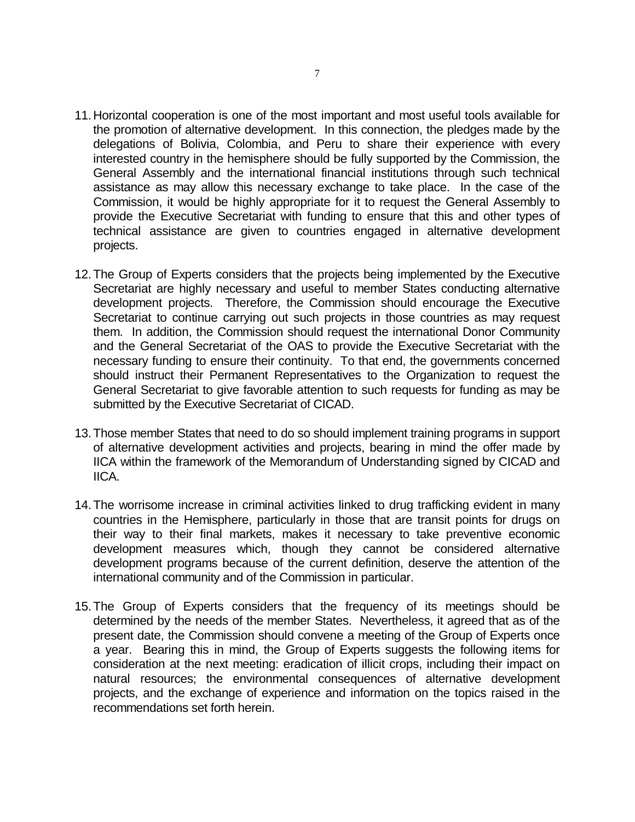- 11.Horizontal cooperation is one of the most important and most useful tools available for the promotion of alternative development. In this connection, the pledges made by the delegations of Bolivia, Colombia, and Peru to share their experience with every interested country in the hemisphere should be fully supported by the Commission, the General Assembly and the international financial institutions through such technical assistance as may allow this necessary exchange to take place. In the case of the Commission, it would be highly appropriate for it to request the General Assembly to provide the Executive Secretariat with funding to ensure that this and other types of technical assistance are given to countries engaged in alternative development projects.
- 12.The Group of Experts considers that the projects being implemented by the Executive Secretariat are highly necessary and useful to member States conducting alternative development projects. Therefore, the Commission should encourage the Executive Secretariat to continue carrying out such projects in those countries as may request them. In addition, the Commission should request the international Donor Community and the General Secretariat of the OAS to provide the Executive Secretariat with the necessary funding to ensure their continuity. To that end, the governments concerned should instruct their Permanent Representatives to the Organization to request the General Secretariat to give favorable attention to such requests for funding as may be submitted by the Executive Secretariat of CICAD.
- 13.Those member States that need to do so should implement training programs in support of alternative development activities and projects, bearing in mind the offer made by IICA within the framework of the Memorandum of Understanding signed by CICAD and IICA.
- 14.The worrisome increase in criminal activities linked to drug trafficking evident in many countries in the Hemisphere, particularly in those that are transit points for drugs on their way to their final markets, makes it necessary to take preventive economic development measures which, though they cannot be considered alternative development programs because of the current definition, deserve the attention of the international community and of the Commission in particular.
- 15.The Group of Experts considers that the frequency of its meetings should be determined by the needs of the member States. Nevertheless, it agreed that as of the present date, the Commission should convene a meeting of the Group of Experts once a year. Bearing this in mind, the Group of Experts suggests the following items for consideration at the next meeting: eradication of illicit crops, including their impact on natural resources; the environmental consequences of alternative development projects, and the exchange of experience and information on the topics raised in the recommendations set forth herein.